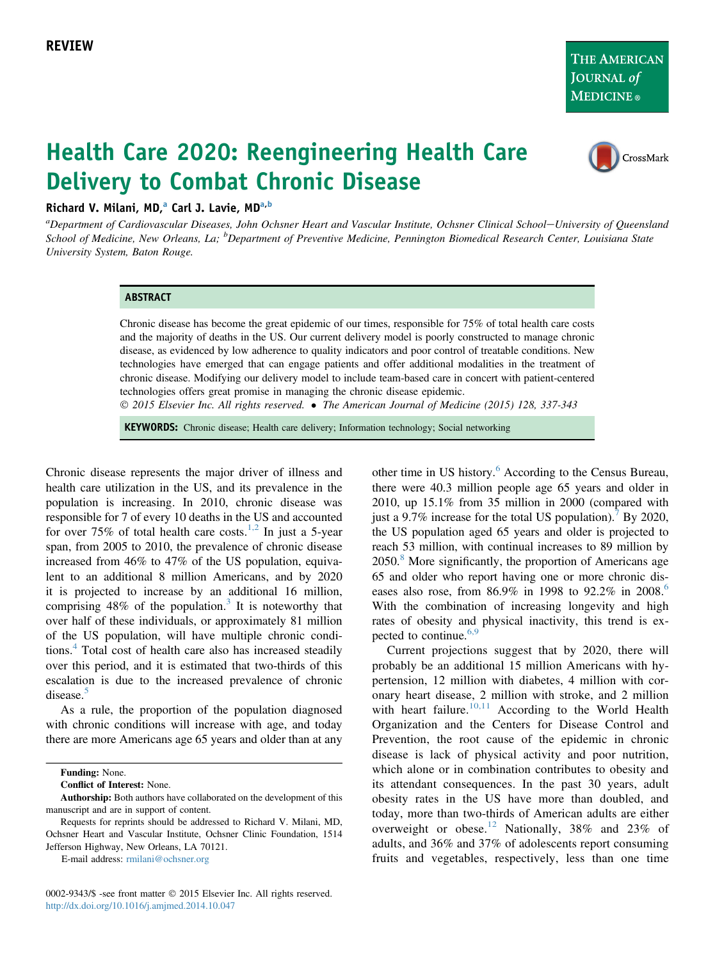THE AMERICAN JOURNAL of **MEDICINE**®

# Health Care 2020: Reengineering Health Care Delivery to Combat Chronic Disease



### Richard V. Milani, MD,<sup>a</sup> Carl J. Lavie, MD<sup>a,b</sup>

a<br>Department of Cardiovascular Diseases, John Ochsner Heart and Vascular Institute, Ochsner Clinical School–University of Queensland School of Medicine, New Orleans, La; <sup>b</sup>Department of Preventive Medicine, Pennington Biomedical Research Center, Louisiana State University System, Baton Rouge.

#### ABSTRACT

Chronic disease has become the great epidemic of our times, responsible for 75% of total health care costs and the majority of deaths in the US. Our current delivery model is poorly constructed to manage chronic disease, as evidenced by low adherence to quality indicators and poor control of treatable conditions. New technologies have emerged that can engage patients and offer additional modalities in the treatment of chronic disease. Modifying our delivery model to include team-based care in concert with patient-centered technologies offers great promise in managing the chronic disease epidemic.

2015 Elsevier Inc. All rights reserved. The American Journal of Medicine (2015) 128, 337-343

KEYWORDS: Chronic disease; Health care delivery; Information technology; Social networking

Chronic disease represents the major driver of illness and health care utilization in the US, and its prevalence in the population is increasing. In 2010, chronic disease was responsible for 7 of every 10 deaths in the US and accounted for over 75% of total health care costs.<sup>[1,2](#page-4-0)</sup> In just a 5-year span, from 2005 to 2010, the prevalence of chronic disease increased from 46% to 47% of the US population, equivalent to an additional 8 million Americans, and by 2020 it is projected to increase by an additional 16 million, comprising  $48\%$  of the population.<sup>[3](#page-4-0)</sup> It is noteworthy that over half of these individuals, or approximately 81 million of the US population, will have multiple chronic conditions.[4](#page-4-0) Total cost of health care also has increased steadily over this period, and it is estimated that two-thirds of this escalation is due to the increased prevalence of chronic disease.<sup>[5](#page-4-0)</sup>

As a rule, the proportion of the population diagnosed with chronic conditions will increase with age, and today there are more Americans age 65 years and older than at any

Funding: None.

Conflict of Interest: None.

E-mail address: [rmilani@ochsner.org](mailto:rmilani@ochsner.org)

0002-9343/\$ -see front matter © 2015 Elsevier Inc. All rights reserved. <http://dx.doi.org/10.1016/j.amjmed.2014.10.047>

other time in US history.<sup>[6](#page-4-0)</sup> According to the Census Bureau, there were 40.3 million people age 65 years and older in 2010, up 15.1% from 35 million in 2000 (compared with just a 9.[7](#page-5-0)% increase for the total US population).<sup>7</sup> By 2020, the US population aged 65 years and older is projected to reach 53 million, with continual increases to 89 million by 2050.[8](#page-5-0) More significantly, the proportion of Americans age 65 and older who report having one or more chronic diseases also rose, from  $86.9\%$  $86.9\%$  $86.9\%$  in 1998 to 92.2% in 2008.<sup>6</sup> With the combination of increasing longevity and high rates of obesity and physical inactivity, this trend is ex-pected to continue.<sup>[6,9](#page-4-0)</sup>

Current projections suggest that by 2020, there will probably be an additional 15 million Americans with hypertension, 12 million with diabetes, 4 million with coronary heart disease, 2 million with stroke, and 2 million with heart failure.<sup>[10,11](#page-5-0)</sup> According to the World Health Organization and the Centers for Disease Control and Prevention, the root cause of the epidemic in chronic disease is lack of physical activity and poor nutrition, which alone or in combination contributes to obesity and its attendant consequences. In the past 30 years, adult obesity rates in the US have more than doubled, and today, more than two-thirds of American adults are either overweight or obese.<sup>[12](#page-5-0)</sup> Nationally, 38% and 23% of adults, and 36% and 37% of adolescents report consuming fruits and vegetables, respectively, less than one time

Authorship: Both authors have collaborated on the development of this manuscript and are in support of content.

Requests for reprints should be addressed to Richard V. Milani, MD, Ochsner Heart and Vascular Institute, Ochsner Clinic Foundation, 1514 Jefferson Highway, New Orleans, LA 70121.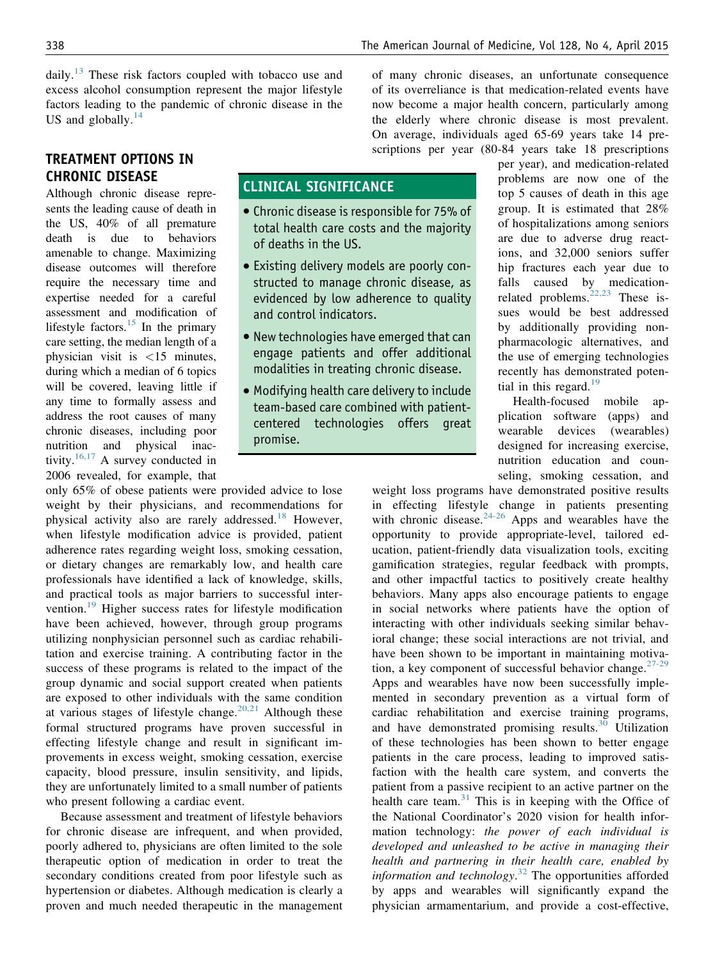daily.<sup>[13](#page-5-0)</sup> These risk factors coupled with tobacco use and excess alcohol consumption represent the major lifestyle factors leading to the pandemic of chronic disease in the US and globally. $^{14}$  $^{14}$  $^{14}$ 

## TREATMENT OPTIONS IN CHRONIC DISEASE

Although chronic disease represents the leading cause of death in the US, 40% of all premature death is due to behaviors amenable to change. Maximizing disease outcomes will therefore require the necessary time and expertise needed for a careful assessment and modification of lifestyle factors. $15$  In the primary care setting, the median length of a physician visit is <15 minutes, during which a median of 6 topics will be covered, leaving little if any time to formally assess and address the root causes of many chronic diseases, including poor nutrition and physical inac-tivity.<sup>[16,17](#page-5-0)</sup> A survey conducted in 2006 revealed, for example, that

only 65% of obese patients were provided advice to lose weight by their physicians, and recommendations for physical activity also are rarely addressed.<sup>[18](#page-5-0)</sup> However, when lifestyle modification advice is provided, patient adherence rates regarding weight loss, smoking cessation, or dietary changes are remarkably low, and health care professionals have identified a lack of knowledge, skills, and practical tools as major barriers to successful inter-vention.<sup>[19](#page-5-0)</sup> Higher success rates for lifestyle modification have been achieved, however, through group programs utilizing nonphysician personnel such as cardiac rehabilitation and exercise training. A contributing factor in the success of these programs is related to the impact of the group dynamic and social support created when patients are exposed to other individuals with the same condition at various stages of lifestyle change.<sup>[20,21](#page-5-0)</sup> Although these formal structured programs have proven successful in effecting lifestyle change and result in significant improvements in excess weight, smoking cessation, exercise capacity, blood pressure, insulin sensitivity, and lipids, they are unfortunately limited to a small number of patients who present following a cardiac event.

Because assessment and treatment of lifestyle behaviors for chronic disease are infrequent, and when provided, poorly adhered to, physicians are often limited to the sole therapeutic option of medication in order to treat the secondary conditions created from poor lifestyle such as hypertension or diabetes. Although medication is clearly a proven and much needed therapeutic in the management of many chronic diseases, an unfortunate consequence of its overreliance is that medication-related events have now become a major health concern, particularly among the elderly where chronic disease is most prevalent. On average, individuals aged 65-69 years take 14 prescriptions per year (80-84 years take 18 prescriptions

# CLINICAL SIGNIFICANCE

- Chronic disease is responsible for 75% of total health care costs and the majority of deaths in the US.
- Existing delivery models are poorly constructed to manage chronic disease, as evidenced by low adherence to quality and control indicators.
- New technologies have emerged that can engage patients and offer additional modalities in treating chronic disease.
- Modifying health care delivery to include team-based care combined with patientcentered technologies offers great promise.

per year), and medication-related problems are now one of the top 5 causes of death in this age group. It is estimated that 28% of hospitalizations among seniors are due to adverse drug reactions, and 32,000 seniors suffer hip fractures each year due to falls caused by medicationrelated problems. $22,23$  These issues would be best addressed by additionally providing nonpharmacologic alternatives, and the use of emerging technologies recently has demonstrated poten-tial in this regard.<sup>[19](#page-5-0)</sup>

Health-focused mobile application software (apps) and wearable devices (wearables) designed for increasing exercise, nutrition education and counseling, smoking cessation, and

weight loss programs have demonstrated positive results in effecting lifestyle change in patients presenting with chronic disease. $24-26$  Apps and wearables have the opportunity to provide appropriate-level, tailored education, patient-friendly data visualization tools, exciting gamification strategies, regular feedback with prompts, and other impactful tactics to positively create healthy behaviors. Many apps also encourage patients to engage in social networks where patients have the option of interacting with other individuals seeking similar behavioral change; these social interactions are not trivial, and have been shown to be important in maintaining motivation, a key component of successful behavior change. $27-29$ Apps and wearables have now been successfully implemented in secondary prevention as a virtual form of cardiac rehabilitation and exercise training programs, and have demonstrated promising results.<sup>[30](#page-5-0)</sup> Utilization of these technologies has been shown to better engage patients in the care process, leading to improved satisfaction with the health care system, and converts the patient from a passive recipient to an active partner on the health care team. $31$  This is in keeping with the Office of the National Coordinator's 2020 vision for health information technology: the power of each individual is developed and unleashed to be active in managing their health and partnering in their health care, enabled by information and technology.<sup>[32](#page-5-0)</sup> The opportunities afforded by apps and wearables will significantly expand the physician armamentarium, and provide a cost-effective,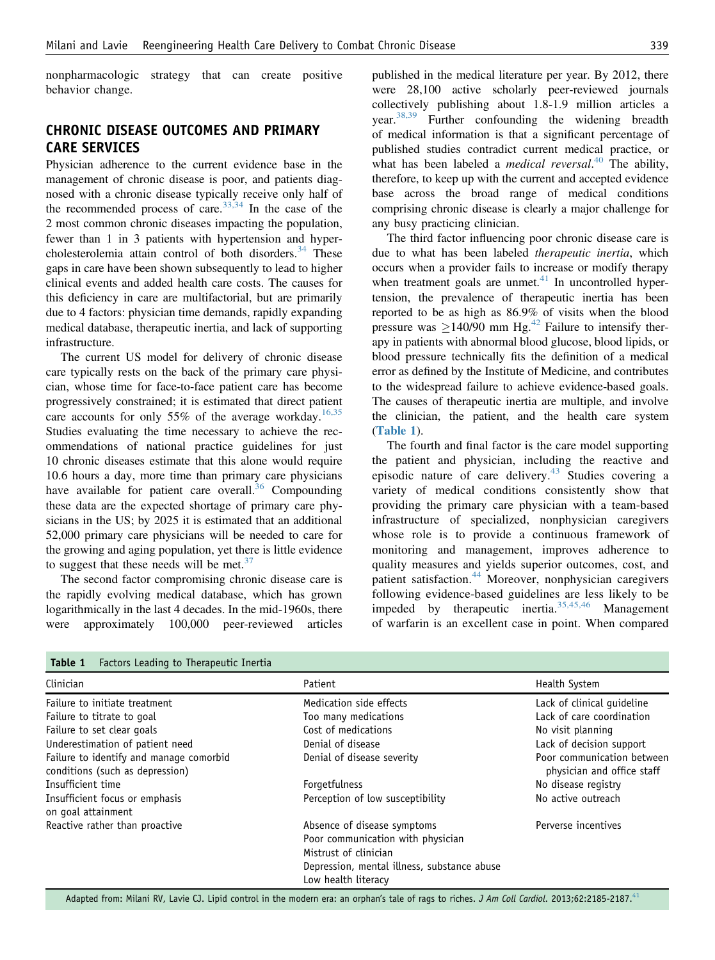nonpharmacologic strategy that can create positive behavior change.

# CHRONIC DISEASE OUTCOMES AND PRIMARY CARE SERVICES

Physician adherence to the current evidence base in the management of chronic disease is poor, and patients diagnosed with a chronic disease typically receive only half of the recommended process of care.<sup>[33,34](#page-5-0)</sup> In the case of the 2 most common chronic diseases impacting the population, fewer than 1 in 3 patients with hypertension and hypercholesterolemia attain control of both disorders. $34$  These gaps in care have been shown subsequently to lead to higher clinical events and added health care costs. The causes for this deficiency in care are multifactorial, but are primarily due to 4 factors: physician time demands, rapidly expanding medical database, therapeutic inertia, and lack of supporting infrastructure.

The current US model for delivery of chronic disease care typically rests on the back of the primary care physician, whose time for face-to-face patient care has become progressively constrained; it is estimated that direct patient care accounts for only 55% of the average workday.<sup>[16,35](#page-5-0)</sup> Studies evaluating the time necessary to achieve the recommendations of national practice guidelines for just 10 chronic diseases estimate that this alone would require 10.6 hours a day, more time than primary care physicians have available for patient care overall.<sup>[36](#page-5-0)</sup> Compounding these data are the expected shortage of primary care physicians in the US; by 2025 it is estimated that an additional 52,000 primary care physicians will be needed to care for the growing and aging population, yet there is little evidence to suggest that these needs will be met. $37$ 

The second factor compromising chronic disease care is the rapidly evolving medical database, which has grown logarithmically in the last 4 decades. In the mid-1960s, there were approximately 100,000 peer-reviewed articles published in the medical literature per year. By 2012, there were 28,100 active scholarly peer-reviewed journals collectively publishing about 1.8-1.9 million articles a year. $38,39$  Further confounding the widening breadth of medical information is that a significant percentage of published studies contradict current medical practice, or what has been labeled a *medical reversal*.<sup>[40](#page-5-0)</sup> The ability, therefore, to keep up with the current and accepted evidence base across the broad range of medical conditions comprising chronic disease is clearly a major challenge for any busy practicing clinician.

The third factor influencing poor chronic disease care is due to what has been labeled therapeutic inertia, which occurs when a provider fails to increase or modify therapy when treatment goals are unmet. $41$  In uncontrolled hypertension, the prevalence of therapeutic inertia has been reported to be as high as 86.9% of visits when the blood pressure was  $\geq$ 140/90 mm Hg.<sup>[42](#page-5-0)</sup> Failure to intensify therapy in patients with abnormal blood glucose, blood lipids, or blood pressure technically fits the definition of a medical error as defined by the Institute of Medicine, and contributes to the widespread failure to achieve evidence-based goals. The causes of therapeutic inertia are multiple, and involve the clinician, the patient, and the health care system (Table 1).

The fourth and final factor is the care model supporting the patient and physician, including the reactive and episodic nature of care delivery.[43](#page-5-0) Studies covering a variety of medical conditions consistently show that providing the primary care physician with a team-based infrastructure of specialized, nonphysician caregivers whose role is to provide a continuous framework of monitoring and management, improves adherence to quality measures and yields superior outcomes, cost, and patient satisfaction.<sup>[44](#page-5-0)</sup> Moreover, nonphysician caregivers following evidence-based guidelines are less likely to be impeded by therapeutic inertia.[35,45,46](#page-5-0) Management of warfarin is an excellent case in point. When compared

| iable 1<br>- Factors Leading to Therapeutic Inertia                        |                                                                                                                                                                 |                                                          |
|----------------------------------------------------------------------------|-----------------------------------------------------------------------------------------------------------------------------------------------------------------|----------------------------------------------------------|
| Clinician                                                                  | Patient                                                                                                                                                         | Health System                                            |
| Failure to initiate treatment                                              | Medication side effects                                                                                                                                         | Lack of clinical guideline                               |
| Failure to titrate to goal                                                 | Too many medications                                                                                                                                            | Lack of care coordination                                |
| Failure to set clear goals                                                 | Cost of medications                                                                                                                                             | No visit planning                                        |
| Underestimation of patient need                                            | Denial of disease                                                                                                                                               | Lack of decision support                                 |
| Failure to identify and manage comorbid<br>conditions (such as depression) | Denial of disease severity                                                                                                                                      | Poor communication between<br>physician and office staff |
| Insufficient time                                                          | Forgetfulness                                                                                                                                                   | No disease registry                                      |
| Insufficient focus or emphasis<br>on goal attainment                       | Perception of low susceptibility                                                                                                                                | No active outreach                                       |
| Reactive rather than proactive                                             | Absence of disease symptoms<br>Poor communication with physician<br>Mistrust of clinician<br>Depression, mental illness, substance abuse<br>Low health literacy | Perverse incentives                                      |

# $T$  Factors Leading to Therapeutic Inertial to Therapeutic Inertial to Therapeutic Inertial to Therapeutic Inertial to Therapeutic Inertial to Therapeutic Inertial to Therapeutic Inertial to Therapeutic Inertial to Therap

Adapted from: Milani RV, Lavie CJ. Lipid control in the modern era: an orphan's tale of rags to riches. J Am Coll Cardiol. 2013;62:2185-2187.<sup>[41](#page-5-0)</sup>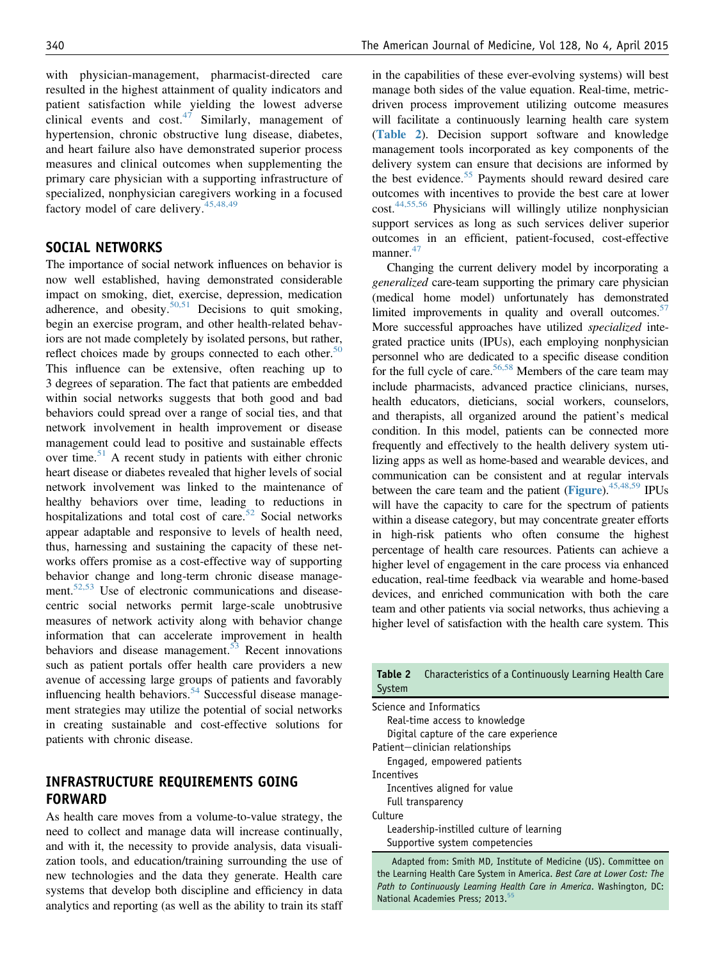with physician-management, pharmacist-directed care resulted in the highest attainment of quality indicators and patient satisfaction while yielding the lowest adverse clinical events and  $cost^{47}$  $cost^{47}$  $cost^{47}$  Similarly, management of hypertension, chronic obstructive lung disease, diabetes, and heart failure also have demonstrated superior process measures and clinical outcomes when supplementing the primary care physician with a supporting infrastructure of specialized, nonphysician caregivers working in a focused factory model of care delivery.<sup>[45,48,49](#page-5-0)</sup>

### SOCIAL NETWORKS

The importance of social network influences on behavior is now well established, having demonstrated considerable impact on smoking, diet, exercise, depression, medication adherence, and obesity.<sup>[50,51](#page-5-0)</sup> Decisions to quit smoking, begin an exercise program, and other health-related behaviors are not made completely by isolated persons, but rather, reflect choices made by groups connected to each other. $50$ This influence can be extensive, often reaching up to 3 degrees of separation. The fact that patients are embedded within social networks suggests that both good and bad behaviors could spread over a range of social ties, and that network involvement in health improvement or disease management could lead to positive and sustainable effects over time.<sup>[51](#page-5-0)</sup> A recent study in patients with either chronic heart disease or diabetes revealed that higher levels of social network involvement was linked to the maintenance of healthy behaviors over time, leading to reductions in hospitalizations and total cost of care.<sup>[52](#page-5-0)</sup> Social networks appear adaptable and responsive to levels of health need, thus, harnessing and sustaining the capacity of these networks offers promise as a cost-effective way of supporting behavior change and long-term chronic disease manage-ment.<sup>[52,53](#page-5-0)</sup> Use of electronic communications and diseasecentric social networks permit large-scale unobtrusive measures of network activity along with behavior change information that can accelerate improvement in health behaviors and disease management.<sup>[53](#page-5-0)</sup> Recent innovations such as patient portals offer health care providers a new avenue of accessing large groups of patients and favorably influencing health behaviors.<sup>[54](#page-6-0)</sup> Successful disease management strategies may utilize the potential of social networks in creating sustainable and cost-effective solutions for patients with chronic disease.

### INFRASTRUCTURE REQUIREMENTS GOING FORWARD

As health care moves from a volume-to-value strategy, the need to collect and manage data will increase continually, and with it, the necessity to provide analysis, data visualization tools, and education/training surrounding the use of new technologies and the data they generate. Health care systems that develop both discipline and efficiency in data analytics and reporting (as well as the ability to train its staff in the capabilities of these ever-evolving systems) will best manage both sides of the value equation. Real-time, metricdriven process improvement utilizing outcome measures will facilitate a continuously learning health care system (Table 2). Decision support software and knowledge management tools incorporated as key components of the delivery system can ensure that decisions are informed by the best evidence.<sup>[55](#page-6-0)</sup> Payments should reward desired care outcomes with incentives to provide the best care at lower cost.[44,55,56](#page-5-0) Physicians will willingly utilize nonphysician support services as long as such services deliver superior outcomes in an efficient, patient-focused, cost-effective manner.<sup>[47](#page-5-0)</sup>

Changing the current delivery model by incorporating a generalized care-team supporting the primary care physician (medical home model) unfortunately has demonstrated limited improvements in quality and overall outcomes.<sup>[57](#page-6-0)</sup> More successful approaches have utilized specialized integrated practice units (IPUs), each employing nonphysician personnel who are dedicated to a specific disease condition for the full cycle of care.<sup>56,58</sup> Members of the care team may include pharmacists, advanced practice clinicians, nurses, health educators, dieticians, social workers, counselors, and therapists, all organized around the patient's medical condition. In this model, patients can be connected more frequently and effectively to the health delivery system utilizing apps as well as home-based and wearable devices, and communication can be consistent and at regular intervals between the care team and the patient ([Figure](#page-4-0)).<sup>[45,48,59](#page-5-0)</sup> IPUs will have the capacity to care for the spectrum of patients within a disease category, but may concentrate greater efforts in high-risk patients who often consume the highest percentage of health care resources. Patients can achieve a higher level of engagement in the care process via enhanced education, real-time feedback via wearable and home-based devices, and enriched communication with both the care team and other patients via social networks, thus achieving a higher level of satisfaction with the health care system. This

| Characteristics of a Continuously Learning Health Care<br>Table 2<br>System |  |  |
|-----------------------------------------------------------------------------|--|--|
| Science and Informatics                                                     |  |  |
| Real-time access to knowledge                                               |  |  |
| Digital capture of the care experience                                      |  |  |
| Patient-clinician relationships                                             |  |  |
| Engaged, empowered patients                                                 |  |  |
| Incentives                                                                  |  |  |
| Incentives aligned for value                                                |  |  |
| Full transparency                                                           |  |  |
| Culture                                                                     |  |  |
| Leadership-instilled culture of learning                                    |  |  |
| Supportive system competencies                                              |  |  |
|                                                                             |  |  |

Adapted from: Smith MD, Institute of Medicine (US). Committee on the Learning Health Care System in America. Best Care at Lower Cost: The Path to Continuously Learning Health Care in America. Washington, DC: National Academies Press; 2013.<sup>5</sup>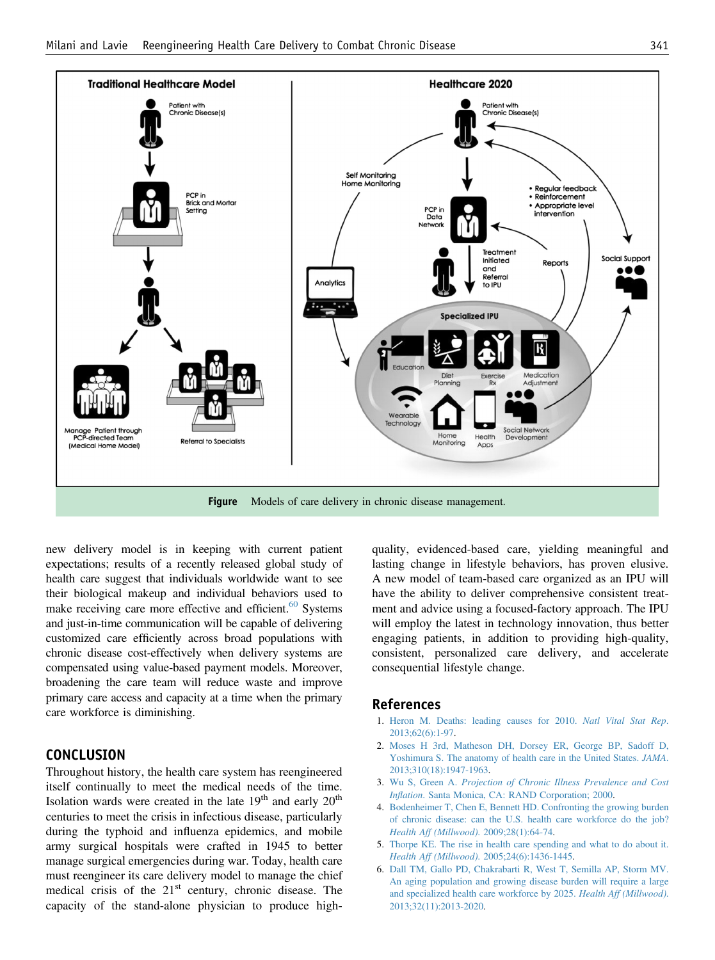<span id="page-4-0"></span>

new delivery model is in keeping with current patient expectations; results of a recently released global study of health care suggest that individuals worldwide want to see their biological makeup and individual behaviors used to make receiving care more effective and efficient. $60$  Systems and just-in-time communication will be capable of delivering customized care efficiently across broad populations with chronic disease cost-effectively when delivery systems are compensated using value-based payment models. Moreover, broadening the care team will reduce waste and improve primary care access and capacity at a time when the primary care workforce is diminishing.

### **CONCLUSION**

Throughout history, the health care system has reengineered itself continually to meet the medical needs of the time. Isolation wards were created in the late  $19<sup>th</sup>$  and early  $20<sup>th</sup>$ centuries to meet the crisis in infectious disease, particularly during the typhoid and influenza epidemics, and mobile army surgical hospitals were crafted in 1945 to better manage surgical emergencies during war. Today, health care must reengineer its care delivery model to manage the chief medical crisis of the  $21<sup>st</sup>$  century, chronic disease. The capacity of the stand-alone physician to produce highquality, evidenced-based care, yielding meaningful and lasting change in lifestyle behaviors, has proven elusive. A new model of team-based care organized as an IPU will have the ability to deliver comprehensive consistent treatment and advice using a focused-factory approach. The IPU will employ the latest in technology innovation, thus better engaging patients, in addition to providing high-quality, consistent, personalized care delivery, and accelerate consequential lifestyle change.

### References

- 1. [Heron M. Deaths: leading causes for 2010.](http://refhub.elsevier.com/S0002-9343(14)01035-3/sref1) Natl Vital Stat Rep. [2013;62\(6\):1-97.](http://refhub.elsevier.com/S0002-9343(14)01035-3/sref1)
- 2. [Moses H 3rd, Matheson DH, Dorsey ER, George BP, Sadoff D,](http://refhub.elsevier.com/S0002-9343(14)01035-3/sref2) [Yoshimura S. The anatomy of health care in the United States.](http://refhub.elsevier.com/S0002-9343(14)01035-3/sref2) JAMA. [2013;310\(18\):1947-1963.](http://refhub.elsevier.com/S0002-9343(14)01035-3/sref2)
- 3. Wu S, Green A. [Projection of Chronic Illness Prevalence and Cost](http://refhub.elsevier.com/S0002-9343(14)01035-3/sref3) Inflation[. Santa Monica, CA: RAND Corporation; 2000.](http://refhub.elsevier.com/S0002-9343(14)01035-3/sref3)
- 4. [Bodenheimer T, Chen E, Bennett HD. Confronting the growing burden](http://refhub.elsevier.com/S0002-9343(14)01035-3/sref4) [of chronic disease: can the U.S. health care workforce do the job?](http://refhub.elsevier.com/S0002-9343(14)01035-3/sref4) [Health Aff \(Millwood\)](http://refhub.elsevier.com/S0002-9343(14)01035-3/sref4). 2009;28(1):64-74.
- 5. [Thorpe KE. The rise in health care spending and what to do about it.](http://refhub.elsevier.com/S0002-9343(14)01035-3/sref5) Health Aff (Millwood)[. 2005;24\(6\):1436-1445](http://refhub.elsevier.com/S0002-9343(14)01035-3/sref5).
- 6. [Dall TM, Gallo PD, Chakrabarti R, West T, Semilla AP, Storm MV.](http://refhub.elsevier.com/S0002-9343(14)01035-3/sref6) [An aging population and growing disease burden will require a large](http://refhub.elsevier.com/S0002-9343(14)01035-3/sref6) [and specialized health care workforce by 2025.](http://refhub.elsevier.com/S0002-9343(14)01035-3/sref6) Health Aff (Millwood). [2013;32\(11\):2013-2020.](http://refhub.elsevier.com/S0002-9343(14)01035-3/sref6)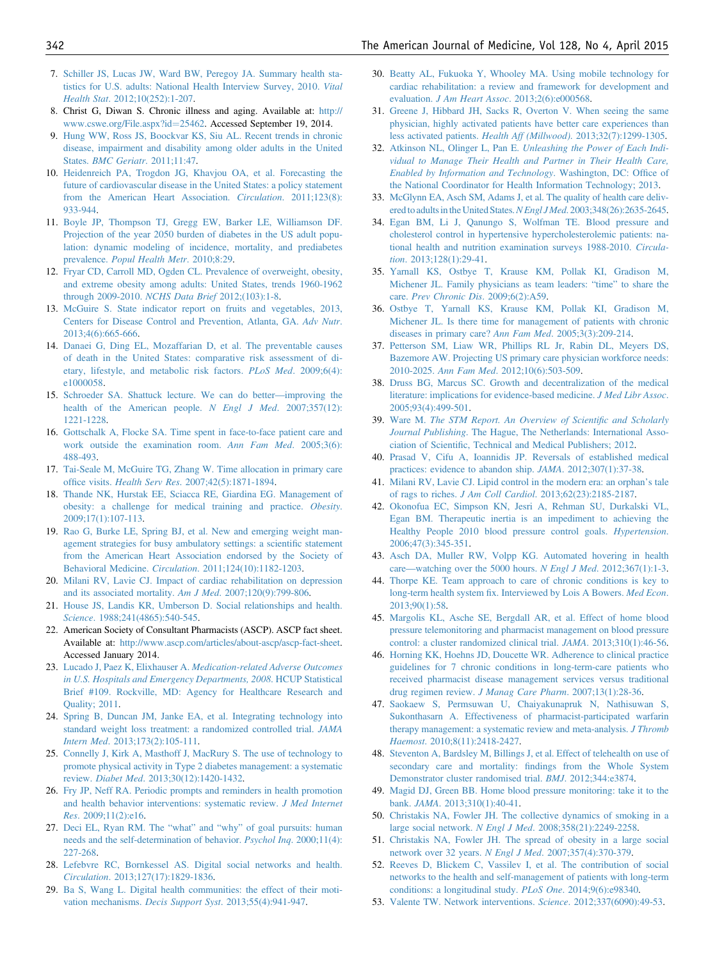- <span id="page-5-0"></span>7. [Schiller JS, Lucas JW, Ward BW, Peregoy JA. Summary health sta](http://refhub.elsevier.com/S0002-9343(14)01035-3/sref7)[tistics for U.S. adults: National Health Interview Survey, 2010.](http://refhub.elsevier.com/S0002-9343(14)01035-3/sref7) Vital Health Stat[. 2012;10\(252\):1-207.](http://refhub.elsevier.com/S0002-9343(14)01035-3/sref7)
- 8. Christ G, Diwan S. Chronic illness and aging. Available at: [http://](http://www.cswe.org/File.aspx?id=25462) [www.cswe.org/File.aspx?id](http://www.cswe.org/File.aspx?id=25462)=[25462.](http://www.cswe.org/File.aspx?id=25462) Accessed September 19, 2014.
- 9. [Hung WW, Ross JS, Boockvar KS, Siu AL. Recent trends in chronic](http://refhub.elsevier.com/S0002-9343(14)01035-3/sref8) [disease, impairment and disability among older adults in the United](http://refhub.elsevier.com/S0002-9343(14)01035-3/sref8) States. **[BMC Geriatr](http://refhub.elsevier.com/S0002-9343(14)01035-3/sref8).** 2011;11:47.
- 10. [Heidenreich PA, Trogdon JG, Khavjou OA, et al. Forecasting the](http://refhub.elsevier.com/S0002-9343(14)01035-3/sref9) [future of cardiovascular disease in the United States: a policy statement](http://refhub.elsevier.com/S0002-9343(14)01035-3/sref9) [from the American Heart Association.](http://refhub.elsevier.com/S0002-9343(14)01035-3/sref9) Circulation. 2011;123(8): [933-944.](http://refhub.elsevier.com/S0002-9343(14)01035-3/sref9)
- 11. [Boyle JP, Thompson TJ, Gregg EW, Barker LE, Williamson DF.](http://refhub.elsevier.com/S0002-9343(14)01035-3/sref10) [Projection of the year 2050 burden of diabetes in the US adult popu](http://refhub.elsevier.com/S0002-9343(14)01035-3/sref10)[lation: dynamic modeling of incidence, mortality, and prediabetes](http://refhub.elsevier.com/S0002-9343(14)01035-3/sref10) prevalence. [Popul Health Metr](http://refhub.elsevier.com/S0002-9343(14)01035-3/sref10). 2010;8:29.
- 12. [Fryar CD, Carroll MD, Ogden CL. Prevalence of overweight, obesity,](http://refhub.elsevier.com/S0002-9343(14)01035-3/sref11) [and extreme obesity among adults: United States, trends 1960-1962](http://refhub.elsevier.com/S0002-9343(14)01035-3/sref11) [through 2009-2010.](http://refhub.elsevier.com/S0002-9343(14)01035-3/sref11) NCHS Data Brief 2012;(103):1-8.
- 13. [McGuire S. State indicator report on fruits and vegetables, 2013,](http://refhub.elsevier.com/S0002-9343(14)01035-3/sref12) [Centers for Disease Control and Prevention, Atlanta, GA.](http://refhub.elsevier.com/S0002-9343(14)01035-3/sref12) Adv Nutr. [2013;4\(6\):665-666.](http://refhub.elsevier.com/S0002-9343(14)01035-3/sref12)
- 14. [Danaei G, Ding EL, Mozaffarian D, et al. The preventable causes](http://refhub.elsevier.com/S0002-9343(14)01035-3/sref13) [of death in the United States: comparative risk assessment of di](http://refhub.elsevier.com/S0002-9343(14)01035-3/sref13)[etary, lifestyle, and metabolic risk factors.](http://refhub.elsevier.com/S0002-9343(14)01035-3/sref13) PLoS Med. 2009;6(4): [e1000058](http://refhub.elsevier.com/S0002-9343(14)01035-3/sref13).
- 15. [Schroeder SA. Shattuck lecture. We can do better](http://refhub.elsevier.com/S0002-9343(14)01035-3/sref14)—improving the [health of the American people.](http://refhub.elsevier.com/S0002-9343(14)01035-3/sref14) N Engl J Med. 2007;357(12): [1221-1228](http://refhub.elsevier.com/S0002-9343(14)01035-3/sref14).
- 16. [Gottschalk A, Flocke SA. Time spent in face-to-face patient care and](http://refhub.elsevier.com/S0002-9343(14)01035-3/sref15) [work outside the examination room.](http://refhub.elsevier.com/S0002-9343(14)01035-3/sref15) Ann Fam Med. 2005;3(6): [488-493.](http://refhub.elsevier.com/S0002-9343(14)01035-3/sref15)
- 17. [Tai-Seale M, McGuire TG, Zhang W. Time allocation in primary care](http://refhub.elsevier.com/S0002-9343(14)01035-3/sref16) office visits. Health Serv Res[. 2007;42\(5\):1871-1894](http://refhub.elsevier.com/S0002-9343(14)01035-3/sref16).
- 18. [Thande NK, Hurstak EE, Sciacca RE, Giardina EG. Management of](http://refhub.elsevier.com/S0002-9343(14)01035-3/sref17) [obesity: a challenge for medical training and practice.](http://refhub.elsevier.com/S0002-9343(14)01035-3/sref17) Obesity. [2009;17\(1\):107-113.](http://refhub.elsevier.com/S0002-9343(14)01035-3/sref17)
- 19. [Rao G, Burke LE, Spring BJ, et al. New and emerging weight man](http://refhub.elsevier.com/S0002-9343(14)01035-3/sref18)[agement strategies for busy ambulatory settings: a scienti](http://refhub.elsevier.com/S0002-9343(14)01035-3/sref18)fic statement [from the American Heart Association endorsed by the Society of](http://refhub.elsevier.com/S0002-9343(14)01035-3/sref18) Behavioral Medicine. Circulation[. 2011;124\(10\):1182-1203](http://refhub.elsevier.com/S0002-9343(14)01035-3/sref18).
- 20. [Milani RV, Lavie CJ. Impact of cardiac rehabilitation on depression](http://refhub.elsevier.com/S0002-9343(14)01035-3/sref19) [and its associated mortality.](http://refhub.elsevier.com/S0002-9343(14)01035-3/sref19) Am J Med. 2007;120(9):799-806.
- 21. [House JS, Landis KR, Umberson D. Social relationships and health.](http://refhub.elsevier.com/S0002-9343(14)01035-3/sref20) Science[. 1988;241\(4865\):540-545](http://refhub.elsevier.com/S0002-9343(14)01035-3/sref20).
- 22. American Society of Consultant Pharmacists (ASCP). ASCP fact sheet. Available at: <http://www.ascp.com/articles/about-ascp/ascp-fact-sheet>. Accessed January 2014.
- 23. Lucado J, Paez K, Elixhauser A. [Medication-related Adverse Outcomes](http://refhub.elsevier.com/S0002-9343(14)01035-3/sref21) [in U.S. Hospitals and Emergency Departments, 2008](http://refhub.elsevier.com/S0002-9343(14)01035-3/sref21). HCUP Statistical [Brief #109. Rockville, MD: Agency for Healthcare Research and](http://refhub.elsevier.com/S0002-9343(14)01035-3/sref21) [Quality; 2011](http://refhub.elsevier.com/S0002-9343(14)01035-3/sref21).
- 24. [Spring B, Duncan JM, Janke EA, et al. Integrating technology into](http://refhub.elsevier.com/S0002-9343(14)01035-3/sref22) [standard weight loss treatment: a randomized controlled trial.](http://refhub.elsevier.com/S0002-9343(14)01035-3/sref22) JAMA Intern Med[. 2013;173\(2\):105-111](http://refhub.elsevier.com/S0002-9343(14)01035-3/sref22).
- 25. [Connelly J, Kirk A, Masthoff J, MacRury S. The use of technology to](http://refhub.elsevier.com/S0002-9343(14)01035-3/sref23) [promote physical activity in Type 2 diabetes management: a systematic](http://refhub.elsevier.com/S0002-9343(14)01035-3/sref23) review. Diabet Med[. 2013;30\(12\):1420-1432](http://refhub.elsevier.com/S0002-9343(14)01035-3/sref23).
- 26. [Fry JP, Neff RA. Periodic prompts and reminders in health promotion](http://refhub.elsevier.com/S0002-9343(14)01035-3/sref24) [and health behavior interventions: systematic review.](http://refhub.elsevier.com/S0002-9343(14)01035-3/sref24) J Med Internet Res[. 2009;11\(2\):e16.](http://refhub.elsevier.com/S0002-9343(14)01035-3/sref24)
- 27. [Deci EL, Ryan RM. The](http://refhub.elsevier.com/S0002-9343(14)01035-3/sref25) "what" and "why" of goal pursuits: human [needs and the self-determination of behavior.](http://refhub.elsevier.com/S0002-9343(14)01035-3/sref25) Psychol Inq. 2000;11(4): [227-268.](http://refhub.elsevier.com/S0002-9343(14)01035-3/sref25)
- 28. [Lefebvre RC, Bornkessel AS. Digital social networks and health.](http://refhub.elsevier.com/S0002-9343(14)01035-3/sref26) Circulation[. 2013;127\(17\):1829-1836.](http://refhub.elsevier.com/S0002-9343(14)01035-3/sref26)
- 29. [Ba S, Wang L. Digital health communities: the effect of their moti](http://refhub.elsevier.com/S0002-9343(14)01035-3/sref27)vation mechanisms. Decis Support Syst[. 2013;55\(4\):941-947](http://refhub.elsevier.com/S0002-9343(14)01035-3/sref27).
- 30. [Beatty AL, Fukuoka Y, Whooley MA. Using mobile technology for](http://refhub.elsevier.com/S0002-9343(14)01035-3/sref28) [cardiac rehabilitation: a review and framework for development and](http://refhub.elsevier.com/S0002-9343(14)01035-3/sref28) evaluation. J Am Heart Assoc[. 2013;2\(6\):e000568](http://refhub.elsevier.com/S0002-9343(14)01035-3/sref28).
- 31. [Greene J, Hibbard JH, Sacks R, Overton V. When seeing the same](http://refhub.elsevier.com/S0002-9343(14)01035-3/sref29) [physician, highly activated patients have better care experiences than](http://refhub.elsevier.com/S0002-9343(14)01035-3/sref29) less activated patients. Health Aff (Millwood)[. 2013;32\(7\):1299-1305.](http://refhub.elsevier.com/S0002-9343(14)01035-3/sref29)
- 32. Atkinson NL, Olinger L, Pan E. [Unleashing the Power of Each Indi](http://refhub.elsevier.com/S0002-9343(14)01035-3/sref30)[vidual to Manage Their Health and Partner in Their Health Care,](http://refhub.elsevier.com/S0002-9343(14)01035-3/sref30) [Enabled by Information and Technology](http://refhub.elsevier.com/S0002-9343(14)01035-3/sref30). Washington, DC: Office of [the National Coordinator for Health Information Technology; 2013.](http://refhub.elsevier.com/S0002-9343(14)01035-3/sref30)
- 33. [McGlynn EA, Asch SM, Adams J, et al. The quality of health care deliv](http://refhub.elsevier.com/S0002-9343(14)01035-3/sref31)ered to adults in the United States. N Engl J Med. 2003;348(26):2635-2645.
- 34. [Egan BM, Li J, Qanungo S, Wolfman TE. Blood pressure and](http://refhub.elsevier.com/S0002-9343(14)01035-3/sref32) [cholesterol control in hypertensive hypercholesterolemic patients: na](http://refhub.elsevier.com/S0002-9343(14)01035-3/sref32)[tional health and nutrition examination surveys 1988-2010.](http://refhub.elsevier.com/S0002-9343(14)01035-3/sref32) Circulation[. 2013;128\(1\):29-41.](http://refhub.elsevier.com/S0002-9343(14)01035-3/sref32)
- 35. [Yarnall KS, Ostbye T, Krause KM, Pollak KI, Gradison M,](http://refhub.elsevier.com/S0002-9343(14)01035-3/sref33) [Michener JL. Family physicians as team leaders:](http://refhub.elsevier.com/S0002-9343(14)01035-3/sref33) "time" to share the care. [Prev Chronic Dis](http://refhub.elsevier.com/S0002-9343(14)01035-3/sref33). 2009;6(2):A59.
- 36. [Ostbye T, Yarnall KS, Krause KM, Pollak KI, Gradison M,](http://refhub.elsevier.com/S0002-9343(14)01035-3/sref34) [Michener JL. Is there time for management of patients with chronic](http://refhub.elsevier.com/S0002-9343(14)01035-3/sref34) [diseases in primary care?](http://refhub.elsevier.com/S0002-9343(14)01035-3/sref34) Ann Fam Med. 2005;3(3):209-214.
- 37. [Petterson SM, Liaw WR, Phillips RL Jr, Rabin DL, Meyers DS,](http://refhub.elsevier.com/S0002-9343(14)01035-3/sref35) [Bazemore AW. Projecting US primary care physician workforce needs:](http://refhub.elsevier.com/S0002-9343(14)01035-3/sref35) 2010-2025. Ann Fam Med[. 2012;10\(6\):503-509.](http://refhub.elsevier.com/S0002-9343(14)01035-3/sref35)
- 38. [Druss BG, Marcus SC. Growth and decentralization of the medical](http://refhub.elsevier.com/S0002-9343(14)01035-3/sref36) [literature: implications for evidence-based medicine.](http://refhub.elsevier.com/S0002-9343(14)01035-3/sref36) J Med Libr Assoc. [2005;93\(4\):499-501.](http://refhub.elsevier.com/S0002-9343(14)01035-3/sref36)
- 39. Ware M. [The STM Report. An Overview of Scienti](http://refhub.elsevier.com/S0002-9343(14)01035-3/sref37)fic and Scholarly Journal Publishing[. The Hague, The Netherlands: International Asso](http://refhub.elsevier.com/S0002-9343(14)01035-3/sref37)ciation of Scientifi[c, Technical and Medical Publishers; 2012](http://refhub.elsevier.com/S0002-9343(14)01035-3/sref37).
- 40. [Prasad V, Cifu A, Ioannidis JP. Reversals of established medical](http://refhub.elsevier.com/S0002-9343(14)01035-3/sref38) [practices: evidence to abandon ship.](http://refhub.elsevier.com/S0002-9343(14)01035-3/sref38) JAMA. 2012;307(1):37-38.
- 41. [Milani RV, Lavie CJ. Lipid control in the modern era: an orphan](http://refhub.elsevier.com/S0002-9343(14)01035-3/sref39)'s tale of rags to riches. J Am Coll Cardiol[. 2013;62\(23\):2185-2187](http://refhub.elsevier.com/S0002-9343(14)01035-3/sref39).
- 42. [Okonofua EC, Simpson KN, Jesri A, Rehman SU, Durkalski VL,](http://refhub.elsevier.com/S0002-9343(14)01035-3/sref40) [Egan BM. Therapeutic inertia is an impediment to achieving the](http://refhub.elsevier.com/S0002-9343(14)01035-3/sref40) [Healthy People 2010 blood pressure control goals.](http://refhub.elsevier.com/S0002-9343(14)01035-3/sref40) Hypertension. [2006;47\(3\):345-351.](http://refhub.elsevier.com/S0002-9343(14)01035-3/sref40)
- 43. [Asch DA, Muller RW, Volpp KG. Automated hovering in health](http://refhub.elsevier.com/S0002-9343(14)01035-3/sref41) care—[watching over the 5000 hours.](http://refhub.elsevier.com/S0002-9343(14)01035-3/sref41) N Engl J Med. 2012;367(1):1-3.
- 44. [Thorpe KE. Team approach to care of chronic conditions is key to](http://refhub.elsevier.com/S0002-9343(14)01035-3/sref42) long-term health system fi[x. Interviewed by Lois A Bowers.](http://refhub.elsevier.com/S0002-9343(14)01035-3/sref42) Med Econ. [2013;90\(1\):58](http://refhub.elsevier.com/S0002-9343(14)01035-3/sref42).
- 45. [Margolis KL, Asche SE, Bergdall AR, et al. Effect of home blood](http://refhub.elsevier.com/S0002-9343(14)01035-3/sref43) [pressure telemonitoring and pharmacist management on blood pressure](http://refhub.elsevier.com/S0002-9343(14)01035-3/sref43) [control: a cluster randomized clinical trial.](http://refhub.elsevier.com/S0002-9343(14)01035-3/sref43) JAMA. 2013;310(1):46-56.
- 46. [Horning KK, Hoehns JD, Doucette WR. Adherence to clinical practice](http://refhub.elsevier.com/S0002-9343(14)01035-3/sref44) [guidelines for 7 chronic conditions in long-term-care patients who](http://refhub.elsevier.com/S0002-9343(14)01035-3/sref44) [received pharmacist disease management services versus traditional](http://refhub.elsevier.com/S0002-9343(14)01035-3/sref44) drug regimen review. [J Manag Care Pharm](http://refhub.elsevier.com/S0002-9343(14)01035-3/sref44). 2007;13(1):28-36.
- 47. [Saokaew S, Permsuwan U, Chaiyakunapruk N, Nathisuwan S,](http://refhub.elsevier.com/S0002-9343(14)01035-3/sref45) [Sukonthasarn A. Effectiveness of pharmacist-participated warfarin](http://refhub.elsevier.com/S0002-9343(14)01035-3/sref45) [therapy management: a systematic review and meta-analysis.](http://refhub.elsevier.com/S0002-9343(14)01035-3/sref45) J Thromb Haemost[. 2010;8\(11\):2418-2427](http://refhub.elsevier.com/S0002-9343(14)01035-3/sref45).
- 48. [Steventon A, Bardsley M, Billings J, et al. Effect of telehealth on use of](http://refhub.elsevier.com/S0002-9343(14)01035-3/sref46) secondary care and mortality: fi[ndings from the Whole System](http://refhub.elsevier.com/S0002-9343(14)01035-3/sref46) [Demonstrator cluster randomised trial.](http://refhub.elsevier.com/S0002-9343(14)01035-3/sref46) BMJ. 2012;344:e3874.
- 49. [Magid DJ, Green BB. Home blood pressure monitoring: take it to the](http://refhub.elsevier.com/S0002-9343(14)01035-3/sref47) bank. JAMA[. 2013;310\(1\):40-41](http://refhub.elsevier.com/S0002-9343(14)01035-3/sref47).
- 50. [Christakis NA, Fowler JH. The collective dynamics of smoking in a](http://refhub.elsevier.com/S0002-9343(14)01035-3/sref48) large social network. N Engl J Med[. 2008;358\(21\):2249-2258.](http://refhub.elsevier.com/S0002-9343(14)01035-3/sref48)
- 51. [Christakis NA, Fowler JH. The spread of obesity in a large social](http://refhub.elsevier.com/S0002-9343(14)01035-3/sref49) [network over 32 years.](http://refhub.elsevier.com/S0002-9343(14)01035-3/sref49) N Engl J Med. 2007;357(4):370-379.
- 52. [Reeves D, Blickem C, Vassilev I, et al. The contribution of social](http://refhub.elsevier.com/S0002-9343(14)01035-3/sref50) [networks to the health and self-management of patients with long-term](http://refhub.elsevier.com/S0002-9343(14)01035-3/sref50) [conditions: a longitudinal study.](http://refhub.elsevier.com/S0002-9343(14)01035-3/sref50) PLoS One. 2014;9(6):e98340.
- 53. [Valente TW. Network interventions.](http://refhub.elsevier.com/S0002-9343(14)01035-3/sref51) Science. 2012;337(6090):49-53.